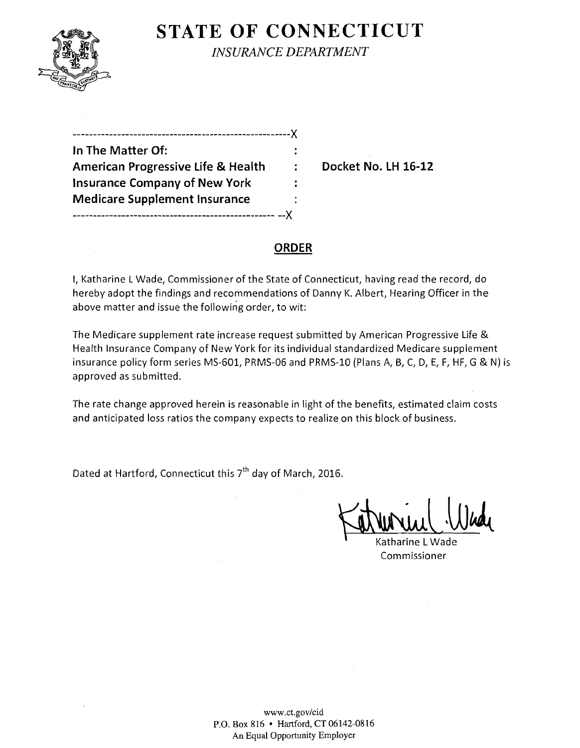

 $\sim$ 

**STATE OF CONNECTICUT** 

*INSURANCE DEPARTMENT* 

------------------------------------------------------)( **In The Matter Of:**  American Progressive Life & Health : Docket No. LH 16-12 **Insurance Company of New York Medicare Supplement Insurance**  -------------------------------------------------- --)(

### **ORDER**

I, Katharine LWade, Commissioner of the State of Connecticut, having read the record, do hereby adopt the findings and recommendations of Danny K. Albert, Hearing Officer in the above matter and issue the following order, to wit:

The Medicare supplement rate increase request submitted by American Progressive Life & Health Insurance Company of New York for its individual standardized Medicare supplement insurance policy form series MS-601, PRMS-06 and PRMS-lO (Plans A, B, C, D, E, F, HF, G & N) is approved as submitted.

The rate change approved herein is reasonable in light of the benefits, estimated claim costs and anticipated loss ratios the company expects to realize on this block of business.

Dated at Hartford, Connecticut this  $7<sup>th</sup>$  day of March, 2016.

Katharine L Wade Commissioner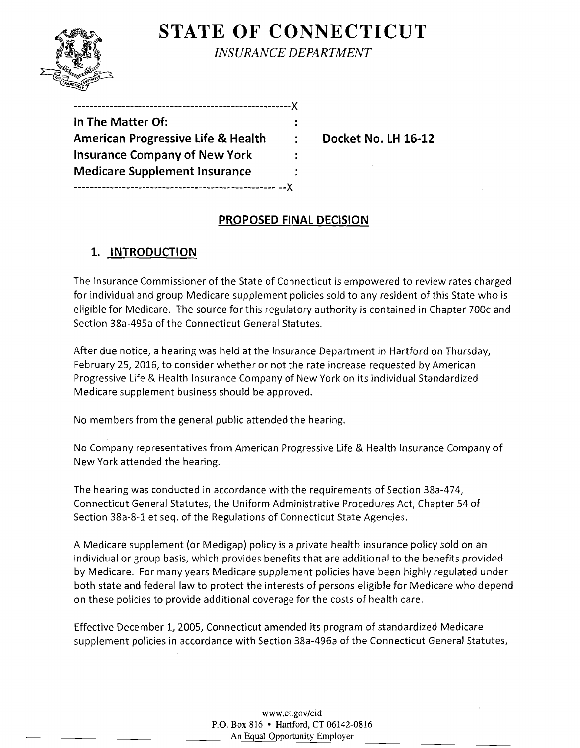# **STATE OF CONNECTICUT**

*INSURANCE DEPARTMENT* 

| In The Matter Of:                             |   |
|-----------------------------------------------|---|
| <b>American Progressive Life &amp; Health</b> | ÷ |
| <b>Insurance Company of New York</b>          |   |
| <b>Medicare Supplement Insurance</b>          |   |
|                                               |   |

**Docket No. LH 16-12** 

# **PROPOSED FINAL DECISION**

# **1. INTRODUCTION**

The Insurance Commissioner of the State of Connecticut is empowered to review rates charged for individual and group Medicare supplement policies sold to any resident of this State who is eligible for Medicare. The source for this regulatory authority is contained in Chapter 700c and Section 38a-495a of the Connecticut General Statutes.

After due notice, a hearing was held at the Insurance Department in Hartford on Thursday, February 25, 2016, to consider whether or not the rate increase requested by American Progressive Life & Health Insurance Company of New York on its individual Standardized Medicare supplement business should be approved.

No members from the general public attended the hearing.

No Company representatives from American Progressive Life & Health Insurance Company of New York attended the hearing.

The hearing was conducted in accordance with the requirements of Section 38a-474, Connecticut General Statutes, the Uniform Administrative Procedures Act, Chapter 54 of Section 38a-8-1 et seq. of the Regulations of Connecticut State Agencies.

A Medicare supplement (or Medigap) policy is a private health insurance policy sold on an individual or group basis, which provides benefits that are additional to the benefits provided by Medicare. For many years Medicare supplement policies have been highly regulated under both state and federal law to protect the interests of persons eligible for Medicare who depend on these policies to provide additional coverage for the costs of health care.

Effective December 1, 200S, Connecticut amended its program of standardized Medicare supplement policies in accordance with Section 38a-496a of the Connecticut General Statutes,

> www.ct.gov/cid P.O. Box 816 • Hartford, CT 06142-0816 An Equal Opportunity Employer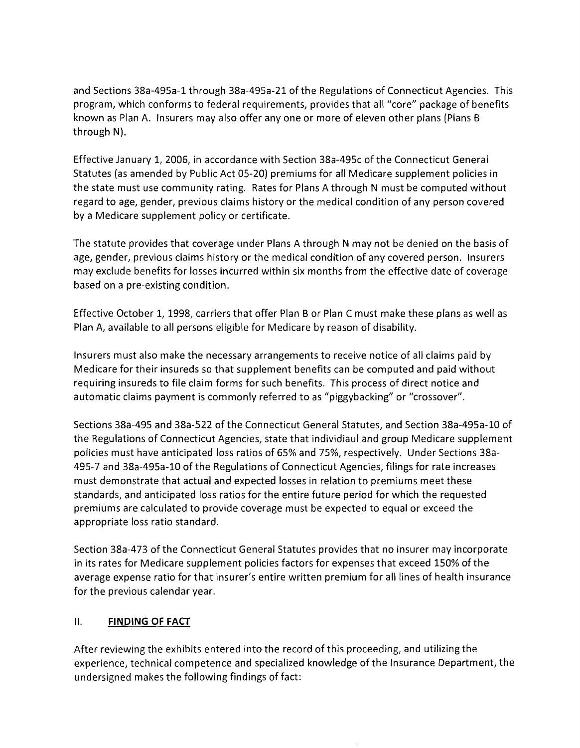and Sections 38a-495a-1 through 38a-495a-21 of the Regulations of Connecticut Agencies. This program, which conforms to federal requirements, provides that all "core" package of benefits known as Plan A. Insurers may also offer anyone or more of eleven other plans (Plans B through N).

Effective January 1, 2006, in accordance with Section 38a-495c of the Connecticut General Statutes (as amended by Public Act 05-20) premiums for all Medicare supplement policies in the state must use community rating. Rates for Plans A through N must be computed without regard to age, gender, previous claims history or the medical condition of any person covered by a Medicare supplement policy or certificate.

The statute provides that coverage under Plans A through N may not be denied on the basis of age, gender, previous claims history or the medical condition of any covered person. Insurers may exclude benefits for losses incurred within six months from the effective date of coverage based on a pre-existing condition.

Effective October 1, 1998, carriers that offer Plan B or Plan C must make these plans as well as Plan A, available to all persons eligible for Medicare by reason of disability.

Insurers must also make the necessary arrangements to receive notice of all claims paid by Medicare for their insureds so that supplement benefits can be computed and paid without requiring insureds to file claim forms for such benefits. This process of direct notice and automatic claims payment is commonly referred to as "piggybacking" or "crossover",

Sections 38a-495 and 38a-522 of the Connecticut General Statutes, and Section 38a-495a-10 of the Regulations of Connecticut Agencies, state that individiaul and group Medicare supplement policies must have anticipated loss ratios of 65% and 75%, respectively. Under Sections 38a-495-7 and 38a-495a-10 of the Regulations of Connecticut Agencies, filings for rate increases must demonstrate that actual and expected losses in relation to premiums meet these standards, and anticipated loss ratios for the entire future period for which the requested premiums are calculated to provide coverage must be expected to equal or exceed the appropriate loss ratio standard.

Section 38a-473 of the Connecticut General Statutes provides that no insurer may incorporate in its rates for Medicare supplement policies factors for expenses that exceed 150% of the average expense ratio for that insurer's entire written premium for all lines of health insurance for the previous calendar year.

## II. **FINDING OF FACT**

After reviewing the exhibits entered into the record of this proceeding, and utilizing the experience, technical competence and specialized knowledge of the Insurance Department, the undersigned makes the following findings of fact: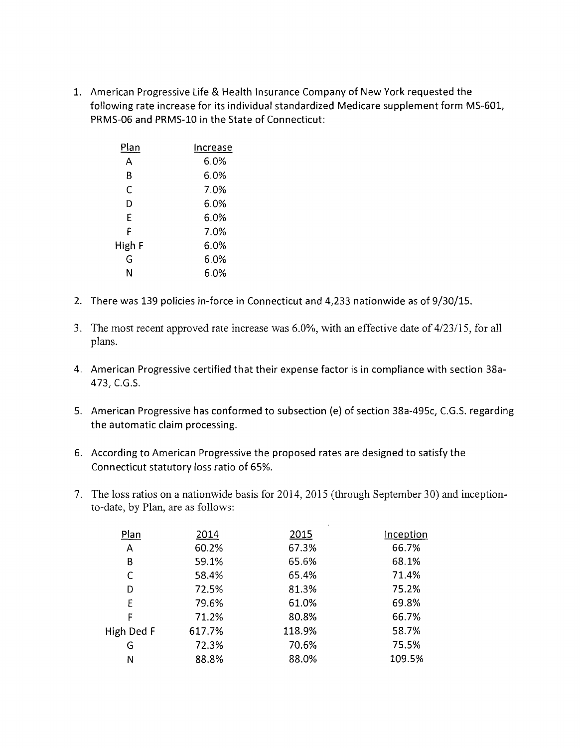1. American Progressive Life & Health Insurance Company of New York requested the following rate increase for its individual standardized Medicare supplement form MS-601, PRMS-06 and PRMS-l0 in the State of Connecticut:

| Plan   | Increase |
|--------|----------|
| А      | 6.0%     |
| B      | 6.0%     |
| C      | 7.0%     |
| D      | 6.0%     |
| Ė      | 6.0%     |
| F      | 7.0%     |
| High F | 6.0%     |
| G      | 6.0%     |
| N      | 6.0%     |

- 2. There was 139 policies in-force in Connecticut and 4,233 nationwide as of 9/30/15.
- 3. The most recent approved rate increase was 6.0%, with an effective date of *4/23115,* for all plans.
- 4. American Progressive certified that their expense factor is in compliance with section 38a-473, e.G.S.
- 5. American Progressive has conformed to subsection (e) of section 38a-495c, C.G.S. regarding the automatic claim processing.
- 6. According to American Progressive the proposed rates are designed to satisfy the Connecticut statutory loss ratio of 65%.
- 7. The loss ratios on a nationwide basis for 2014, 2015 (through September 30) and inceptionto-date, by Plan, are as follows:

| Plan       | 2014   | 2015   | Inception |
|------------|--------|--------|-----------|
| Α          | 60.2%  | 67.3%  | 66.7%     |
| В          | 59.1%  | 65.6%  | 68.1%     |
| C          | 58.4%  | 65.4%  | 71.4%     |
| D          | 72.5%  | 81.3%  | 75.2%     |
| E          | 79.6%  | 61.0%  | 69.8%     |
| F          | 71.2%  | 80.8%  | 66.7%     |
| High Ded F | 617.7% | 118.9% | 58.7%     |
| G          | 72.3%  | 70.6%  | 75.5%     |
| Ν          | 88.8%  | 88.0%  | 109.5%    |